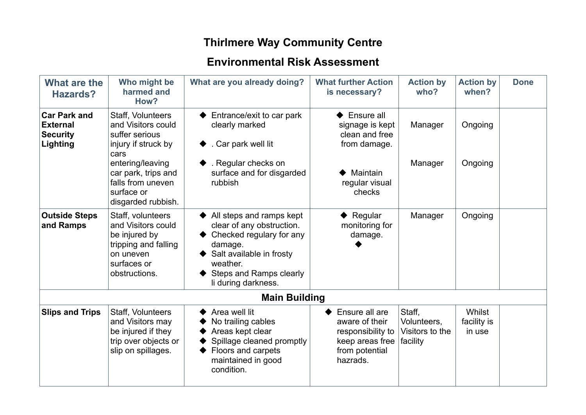## **Thirlmere Way Community Centre**

## **Environmental Risk Assessment**

| What are the<br><b>Hazards?</b>                                       | Who might be<br>harmed and<br>How?                                                                                            | What are you already doing?                                                                                                                                                            | <b>What further Action</b><br>is necessary?                                                            | <b>Action by</b><br>who?                             | <b>Action by</b><br>when?       | <b>Done</b> |
|-----------------------------------------------------------------------|-------------------------------------------------------------------------------------------------------------------------------|----------------------------------------------------------------------------------------------------------------------------------------------------------------------------------------|--------------------------------------------------------------------------------------------------------|------------------------------------------------------|---------------------------------|-------------|
| <b>Car Park and</b><br><b>External</b><br><b>Security</b><br>Lighting | Staff, Volunteers<br>and Visitors could<br>suffer serious<br>injury if struck by<br>cars                                      | Entrance/exit to car park<br>clearly marked<br>. Car park well lit                                                                                                                     | $\blacktriangleright$ Ensure all<br>signage is kept<br>clean and free<br>from damage.                  | Manager                                              | Ongoing                         |             |
|                                                                       | entering/leaving<br>car park, trips and<br>falls from uneven<br>surface or<br>disgarded rubbish.                              | . Regular checks on<br>surface and for disgarded<br>rubbish                                                                                                                            | Maintain<br>regular visual<br>checks                                                                   | Manager                                              | Ongoing                         |             |
| <b>Outside Steps</b><br>and Ramps                                     | Staff, volunteers<br>and Visitors could<br>be injured by<br>tripping and falling<br>on uneven<br>surfaces or<br>obstructions. | All steps and ramps kept<br>clear of any obstruction.<br>Checked regulary for any<br>damage.<br>Salt available in frosty<br>weather.<br>Steps and Ramps clearly<br>li during darkness. | $\blacklozenge$ Regular<br>monitoring for<br>damage.                                                   | Manager                                              | Ongoing                         |             |
|                                                                       |                                                                                                                               | <b>Main Building</b>                                                                                                                                                                   |                                                                                                        |                                                      |                                 |             |
| <b>Slips and Trips</b>                                                | Staff, Volunteers<br>and Visitors may<br>be injured if they<br>trip over objects or<br>slip on spillages.                     | Area well lit<br>No trailing cables<br>Areas kept clear<br>Spillage cleaned promptly<br>Floors and carpets<br>maintained in good<br>condition.                                         | Ensure all are<br>aware of their<br>responsibility to<br>keep areas free<br>from potential<br>hazrads. | Staff,<br>Volunteers,<br>Visitors to the<br>facility | Whilst<br>facility is<br>in use |             |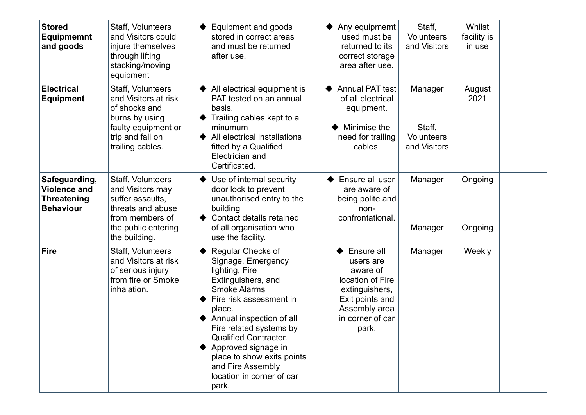| <b>Stored</b><br><b>Equipmemnt</b><br>and goods                                | Staff, Volunteers<br>and Visitors could<br>injure themselves<br>through lifting<br>stacking/moving<br>equipment                             | Equipment and goods<br>stored in correct areas<br>and must be returned<br>after use.                                                                                                                                                                                                                                                               | Any equipmemt<br>used must be<br>returned to its<br>correct storage<br>area after use.                                                     | Staff,<br><b>Volunteers</b><br>and Visitors            | Whilst<br>facility is<br>in use |  |
|--------------------------------------------------------------------------------|---------------------------------------------------------------------------------------------------------------------------------------------|----------------------------------------------------------------------------------------------------------------------------------------------------------------------------------------------------------------------------------------------------------------------------------------------------------------------------------------------------|--------------------------------------------------------------------------------------------------------------------------------------------|--------------------------------------------------------|---------------------------------|--|
| <b>Electrical</b><br><b>Equipment</b>                                          | Staff, Volunteers<br>and Visitors at risk<br>of shocks and<br>burns by using<br>faulty equipment or<br>trip and fall on<br>trailing cables. | All electrical equipment is<br>PAT tested on an annual<br>basis.<br>Trailing cables kept to a<br>minumum<br>All electrical installations<br>fitted by a Qualified<br>Electrician and<br>Certificated.                                                                                                                                              | <b>Annual PAT test</b><br>of all electrical<br>equipment.<br>Minimise the<br>need for trailing<br>cables.                                  | Manager<br>Staff,<br><b>Volunteers</b><br>and Visitors | August<br>2021                  |  |
| Safeguarding,<br><b>Violence and</b><br><b>Threatening</b><br><b>Behaviour</b> | Staff, Volunteers<br>and Visitors may<br>suffer assaults.<br>threats and abuse<br>from members of<br>the public entering<br>the building.   | Use of internal security<br>door lock to prevent<br>unauthorised entry to the<br>building<br>Contact details retained<br>of all organisation who<br>use the facility.                                                                                                                                                                              | Ensure all user<br>are aware of<br>being polite and<br>non-<br>confrontational.                                                            | Manager<br>Manager                                     | Ongoing<br>Ongoing              |  |
| <b>Fire</b>                                                                    | Staff, Volunteers<br>and Visitors at risk<br>of serious injury<br>from fire or Smoke<br>inhalation.                                         | Regular Checks of<br>Signage, Emergency<br>lighting, Fire<br>Extinguishers, and<br><b>Smoke Alarms</b><br>Fire risk assessment in<br>place.<br>Annual inspection of all<br>Fire related systems by<br><b>Qualified Contracter.</b><br>Approved signage in<br>place to show exits points<br>and Fire Assembly<br>location in corner of car<br>park. | Ensure all<br>users are<br>aware of<br>location of Fire<br>extinguishers,<br>Exit points and<br>Assembly area<br>in corner of car<br>park. | Manager                                                | Weekly                          |  |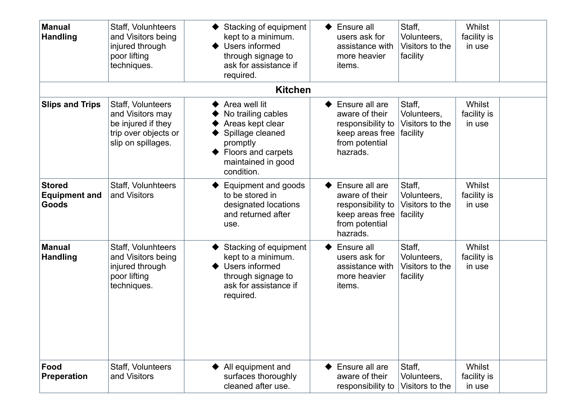| <b>Manual</b><br><b>Handling</b>               | Staff, Volunhteers<br>and Visitors being<br>injured through<br>poor lifting<br>techniques.                | Stacking of equipment<br>kept to a minimum.<br>Users informed<br>through signage to<br>ask for assistance if                                      | Ensure all<br>users ask for<br>assistance with<br>more heavier<br>items.                               | Staff,<br>Volunteers,<br>Visitors to the<br>facility | <b>Whilst</b><br>facility is<br>in use |  |
|------------------------------------------------|-----------------------------------------------------------------------------------------------------------|---------------------------------------------------------------------------------------------------------------------------------------------------|--------------------------------------------------------------------------------------------------------|------------------------------------------------------|----------------------------------------|--|
|                                                |                                                                                                           | required.                                                                                                                                         |                                                                                                        |                                                      |                                        |  |
|                                                |                                                                                                           | <b>Kitchen</b>                                                                                                                                    |                                                                                                        |                                                      |                                        |  |
| <b>Slips and Trips</b>                         | Staff, Volunteers<br>and Visitors may<br>be injured if they<br>trip over objects or<br>slip on spillages. | Area well lit<br>No trailing cables<br>Areas kept clear<br>Spillage cleaned<br>promptly<br>Floors and carpets<br>maintained in good<br>condition. | Ensure all are<br>aware of their<br>responsibility to<br>keep areas free<br>from potential<br>hazrads. | Staff,<br>Volunteers,<br>Visitors to the<br>facility | <b>Whilst</b><br>facility is<br>in use |  |
| <b>Stored</b><br><b>Equipment and</b><br>Goods | Staff, Volunhteers<br>and Visitors                                                                        | Equipment and goods<br>to be stored in<br>designated locations<br>and returned after<br>use.                                                      | Ensure all are<br>aware of their<br>responsibility to<br>keep areas free<br>from potential<br>hazrads. | Staff,<br>Volunteers,<br>Visitors to the<br>facility | <b>Whilst</b><br>facility is<br>in use |  |
| <b>Manual</b><br><b>Handling</b>               | Staff, Volunhteers<br>and Visitors being<br>injured through<br>poor lifting<br>techniques.                | Stacking of equipment<br>kept to a minimum.<br>Users informed<br>through signage to<br>ask for assistance if<br>required.                         | Ensure all<br>users ask for<br>assistance with<br>more heavier<br>items.                               | Staff,<br>Volunteers,<br>Visitors to the<br>facility | <b>Whilst</b><br>facility is<br>in use |  |
| Food<br><b>Preperation</b>                     | Staff, Volunteers<br>and Visitors                                                                         | All equipment and<br>surfaces thoroughly<br>cleaned after use.                                                                                    | Ensure all are<br>aware of their<br>responsibility to                                                  | Staff,<br>Volunteers,<br>Visitors to the             | <b>Whilst</b><br>facility is<br>in use |  |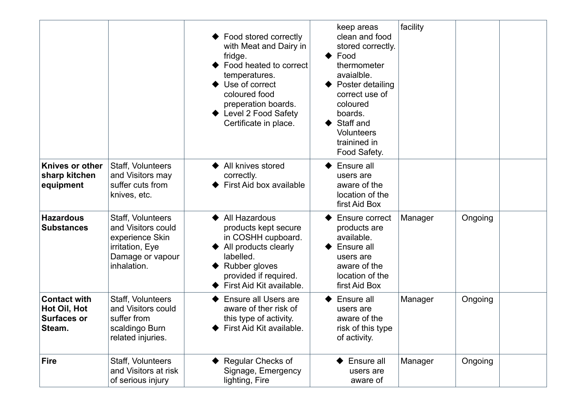|                                                                     |                                                                                                                  | Food stored correctly<br>with Meat and Dairy in<br>fridge.<br>Food heated to correct<br>temperatures.<br>Use of correct<br>coloured food<br>preperation boards.<br>Level 2 Food Safety<br>Certificate in place. | keep areas<br>clean and food<br>stored correctly.<br>Food<br>thermometer<br>avaialble.<br>Poster detailing<br>correct use of<br>coloured<br>boards.<br>Staff and<br><b>Volunteers</b><br>trainined in<br>Food Safety. | facility |         |  |
|---------------------------------------------------------------------|------------------------------------------------------------------------------------------------------------------|-----------------------------------------------------------------------------------------------------------------------------------------------------------------------------------------------------------------|-----------------------------------------------------------------------------------------------------------------------------------------------------------------------------------------------------------------------|----------|---------|--|
| Knives or other<br>sharp kitchen<br>equipment                       | Staff, Volunteers<br>and Visitors may<br>suffer cuts from<br>knives, etc.                                        | All knives stored<br>correctly.<br>First Aid box available                                                                                                                                                      | Ensure all<br>users are<br>aware of the<br>location of the<br>first Aid Box                                                                                                                                           |          |         |  |
| <b>Hazardous</b><br><b>Substances</b>                               | Staff, Volunteers<br>and Visitors could<br>experience Skin<br>irritation, Eye<br>Damage or vapour<br>inhalation. | All Hazardous<br>products kept secure<br>in COSHH cupboard.<br>All products clearly<br>labelled.<br>Rubber gloves<br>provided if required.<br>First Aid Kit available.                                          | Ensure correct<br>products are<br>available.<br>Ensure all<br>users are<br>aware of the<br>location of the<br>first Aid Box                                                                                           | Manager  | Ongoing |  |
| <b>Contact with</b><br>Hot Oil, Hot<br><b>Surfaces or</b><br>Steam. | Staff, Volunteers<br>and Visitors could<br>suffer from<br>scaldingo Burn<br>related injuries.                    | <b>Ensure all Users are</b><br>aware of ther risk of<br>this type of activity.<br>First Aid Kit available.                                                                                                      | Ensure all<br>users are<br>aware of the<br>risk of this type<br>of activity.                                                                                                                                          | Manager  | Ongoing |  |
| <b>Fire</b>                                                         | Staff, Volunteers<br>and Visitors at risk<br>of serious injury                                                   | Regular Checks of<br>Signage, Emergency<br>lighting, Fire                                                                                                                                                       | Ensure all<br>users are<br>aware of                                                                                                                                                                                   | Manager  | Ongoing |  |